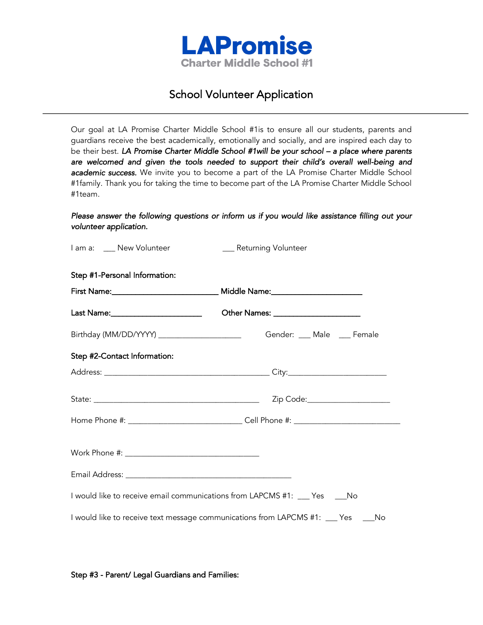

## School Volunteer Application

Our goal at LA Promise Charter Middle School #1is to ensure all our students, parents and guardians receive the best academically, emotionally and socially, and are inspired each day to be their best. *LA Promise Charter Middle School #1will be your school – a place where parents are welcomed and given the tools needed to support their child's overall well-being and academic success.* We invite you to become a part of the LA Promise Charter Middle School #1family. Thank you for taking the time to become part of the LA Promise Charter Middle School #1team.

## *Please answer the following questions or inform us if you would like assistance filling out your volunteer application.*

| I am a: __ New Volunteer                                                    | __ Returning Volunteer                                                             |
|-----------------------------------------------------------------------------|------------------------------------------------------------------------------------|
| Step #1-Personal Information:                                               |                                                                                    |
|                                                                             | First Name:___________________________________ Middle Name:_____________________   |
|                                                                             | Other Names: ________________________                                              |
|                                                                             |                                                                                    |
| Step #2-Contact Information:                                                |                                                                                    |
|                                                                             |                                                                                    |
|                                                                             |                                                                                    |
|                                                                             | Home Phone #: _______________________________Cell Phone #: ______________________  |
|                                                                             |                                                                                    |
|                                                                             |                                                                                    |
| I would like to receive email communications from LAPCMS #1: __ Yes ____ No |                                                                                    |
|                                                                             | I would like to receive text message communications from LAPCMS #1: ___ Yes ____No |

Step #3 - Parent/ Legal Guardians and Families: